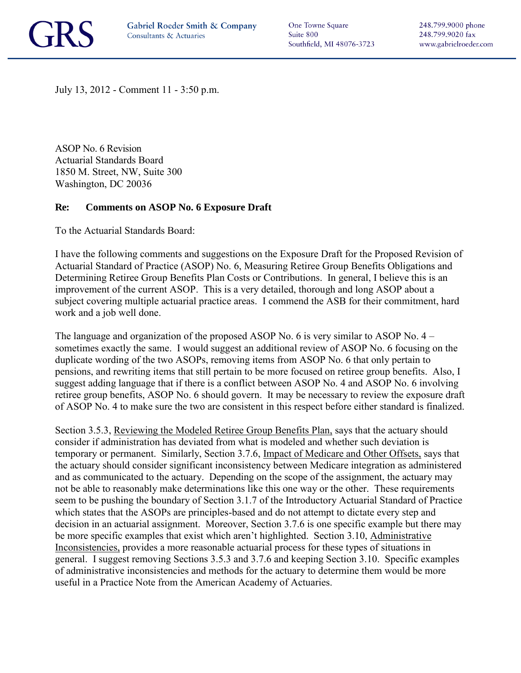

One Towne Square Suite 800 Southfield, MI 48076-3723

July 13, 2012 - Comment 11 - 3:50 p.m.

ASOP No. 6 Revision Actuarial Standards Board 1850 M. Street, NW, Suite 300 Washington, DC 20036

## **Re: Comments on ASOP No. 6 Exposure Draft**

To the Actuarial Standards Board:

I have the following comments and suggestions on the Exposure Draft for the Proposed Revision of Actuarial Standard of Practice (ASOP) No. 6, Measuring Retiree Group Benefits Obligations and Determining Retiree Group Benefits Plan Costs or Contributions. In general, I believe this is an improvement of the current ASOP. This is a very detailed, thorough and long ASOP about a subject covering multiple actuarial practice areas. I commend the ASB for their commitment, hard work and a job well done.

The language and organization of the proposed ASOP No. 6 is very similar to ASOP No. 4 – sometimes exactly the same. I would suggest an additional review of ASOP No. 6 focusing on the duplicate wording of the two ASOPs, removing items from ASOP No. 6 that only pertain to pensions, and rewriting items that still pertain to be more focused on retiree group benefits. Also, I suggest adding language that if there is a conflict between ASOP No. 4 and ASOP No. 6 involving retiree group benefits, ASOP No. 6 should govern. It may be necessary to review the exposure draft of ASOP No. 4 to make sure the two are consistent in this respect before either standard is finalized.

Section 3.5.3, Reviewing the Modeled Retiree Group Benefits Plan, says that the actuary should consider if administration has deviated from what is modeled and whether such deviation is temporary or permanent. Similarly, Section 3.7.6, Impact of Medicare and Other Offsets, says that the actuary should consider significant inconsistency between Medicare integration as administered and as communicated to the actuary. Depending on the scope of the assignment, the actuary may not be able to reasonably make determinations like this one way or the other. These requirements seem to be pushing the boundary of Section 3.1.7 of the Introductory Actuarial Standard of Practice which states that the ASOPs are principles-based and do not attempt to dictate every step and decision in an actuarial assignment. Moreover, Section 3.7.6 is one specific example but there may be more specific examples that exist which aren't highlighted. Section 3.10, Administrative Inconsistencies, provides a more reasonable actuarial process for these types of situations in general. I suggest removing Sections 3.5.3 and 3.7.6 and keeping Section 3.10. Specific examples of administrative inconsistencies and methods for the actuary to determine them would be more useful in a Practice Note from the American Academy of Actuaries.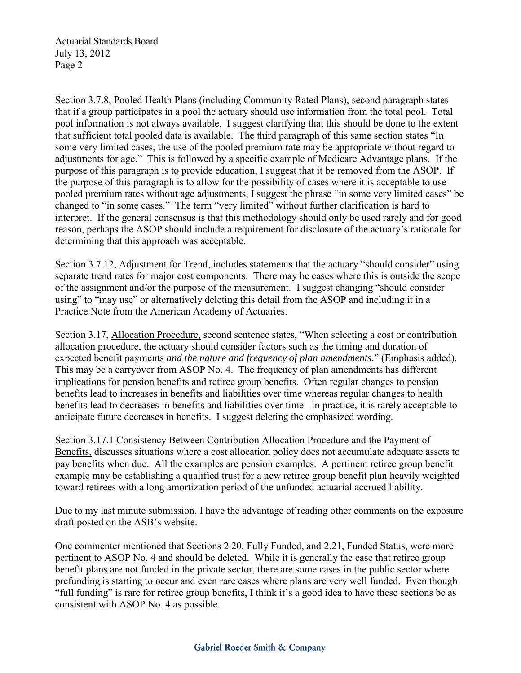Actuarial Standards Board July 13, 2012 Page 2

Section 3.7.8, Pooled Health Plans (including Community Rated Plans), second paragraph states that if a group participates in a pool the actuary should use information from the total pool. Total pool information is not always available. I suggest clarifying that this should be done to the extent that sufficient total pooled data is available. The third paragraph of this same section states "In some very limited cases, the use of the pooled premium rate may be appropriate without regard to adjustments for age." This is followed by a specific example of Medicare Advantage plans. If the purpose of this paragraph is to provide education, I suggest that it be removed from the ASOP. If the purpose of this paragraph is to allow for the possibility of cases where it is acceptable to use pooled premium rates without age adjustments, I suggest the phrase "in some very limited cases" be changed to "in some cases." The term "very limited" without further clarification is hard to interpret. If the general consensus is that this methodology should only be used rarely and for good reason, perhaps the ASOP should include a requirement for disclosure of the actuary's rationale for determining that this approach was acceptable.

Section 3.7.12, Adjustment for Trend, includes statements that the actuary "should consider" using separate trend rates for major cost components. There may be cases where this is outside the scope of the assignment and/or the purpose of the measurement. I suggest changing "should consider using" to "may use" or alternatively deleting this detail from the ASOP and including it in a Practice Note from the American Academy of Actuaries.

Section 3.17, Allocation Procedure, second sentence states, "When selecting a cost or contribution allocation procedure, the actuary should consider factors such as the timing and duration of expected benefit payments *and the nature and frequency of plan amendments*." (Emphasis added). This may be a carryover from ASOP No. 4. The frequency of plan amendments has different implications for pension benefits and retiree group benefits. Often regular changes to pension benefits lead to increases in benefits and liabilities over time whereas regular changes to health benefits lead to decreases in benefits and liabilities over time. In practice, it is rarely acceptable to anticipate future decreases in benefits. I suggest deleting the emphasized wording.

Section 3.17.1 Consistency Between Contribution Allocation Procedure and the Payment of Benefits, discusses situations where a cost allocation policy does not accumulate adequate assets to pay benefits when due. All the examples are pension examples. A pertinent retiree group benefit example may be establishing a qualified trust for a new retiree group benefit plan heavily weighted toward retirees with a long amortization period of the unfunded actuarial accrued liability.

Due to my last minute submission, I have the advantage of reading other comments on the exposure draft posted on the ASB's website.

One commenter mentioned that Sections 2.20, Fully Funded, and 2.21, Funded Status, were more pertinent to ASOP No. 4 and should be deleted. While it is generally the case that retiree group benefit plans are not funded in the private sector, there are some cases in the public sector where prefunding is starting to occur and even rare cases where plans are very well funded. Even though "full funding" is rare for retiree group benefits, I think it's a good idea to have these sections be as consistent with ASOP No. 4 as possible.